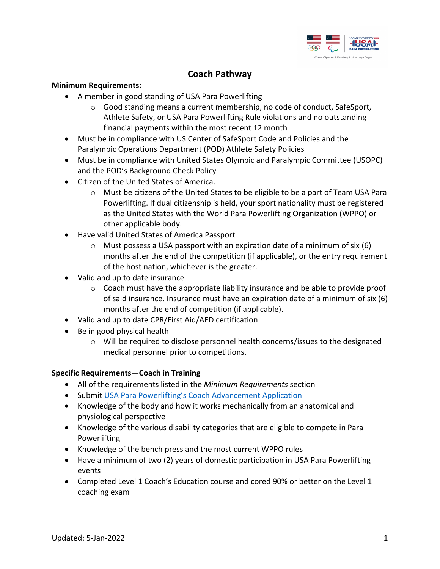

# **Coach Pathway**

#### **Minimum Requirements:**

- A member in good standing of USA Para Powerlifting
	- $\circ$  Good standing means a current membership, no code of conduct, SafeSport, Athlete Safety, or USA Para Powerlifting Rule violations and no outstanding financial payments within the most recent 12 month
- Must be in compliance with US Center of SafeSport Code and Policies and the Paralympic Operations Department (POD) Athlete Safety Policies
- Must be in compliance with United States Olympic and Paralympic Committee (USOPC) and the POD's Background Check Policy
- Citizen of the United States of America.
	- o Must be citizens of the United States to be eligible to be a part of Team USA Para Powerlifting. If dual citizenship is held, your sport nationality must be registered as the United States with the World Para Powerlifting Organization (WPPO) or other applicable body.
- Have valid United States of America Passport
	- $\circ$  Must possess a USA passport with an expiration date of a minimum of six (6) months after the end of the competition (if applicable), or the entry requirement of the host nation, whichever is the greater.
- Valid and up to date insurance
	- $\circ$  Coach must have the appropriate liability insurance and be able to provide proof of said insurance. Insurance must have an expiration date of a minimum of six (6) months after the end of competition (if applicable).
- Valid and up to date CPR/First Aid/AED certification
- Be in good physical health
	- $\circ$  Will be required to disclose personnel health concerns/issues to the designated medical personnel prior to competitions.

## **Specific Requirements—Coach in Training**

- All of the requirements listed in the *Minimum Requirements* section
- Submit USA Para Powerlifting's Coach Advancement Application
- Knowledge of the body and how it works mechanically from an anatomical and physiological perspective
- Knowledge of the various disability categories that are eligible to compete in Para Powerlifting
- Knowledge of the bench press and the most current WPPO rules
- Have a minimum of two (2) years of domestic participation in USA Para Powerlifting events
- Completed Level 1 Coach's Education course and cored 90% or better on the Level 1 coaching exam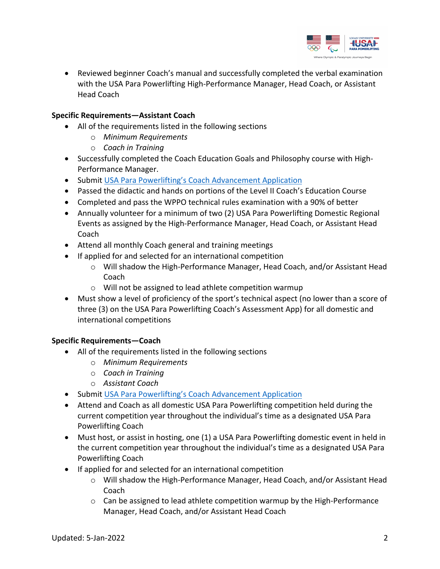

• Reviewed beginner Coach's manual and successfully completed the verbal examination with the USA Para Powerlifting High-Performance Manager, Head Coach, or Assistant Head Coach

### **Specific Requirements—Assistant Coach**

- All of the requirements listed in the following sections
	- o *Minimum Requirements*
	- o *Coach in Training*
- Successfully completed the Coach Education Goals and Philosophy course with High-Performance Manager.
- Submit USA Para Powerlifting's Coach Advancement Application
- Passed the didactic and hands on portions of the Level II Coach's Education Course
- Completed and pass the WPPO technical rules examination with a 90% of better
- Annually volunteer for a minimum of two (2) USA Para Powerlifting Domestic Regional Events as assigned by the High-Performance Manager, Head Coach, or Assistant Head Coach
- Attend all monthly Coach general and training meetings
- If applied for and selected for an international competition
	- o Will shadow the High-Performance Manager, Head Coach, and/or Assistant Head Coach
	- o Will not be assigned to lead athlete competition warmup
- Must show a level of proficiency of the sport's technical aspect (no lower than a score of three (3) on the USA Para Powerlifting Coach's Assessment App) for all domestic and international competitions

#### **Specific Requirements—Coach**

- All of the requirements listed in the following sections
	- o *Minimum Requirements*
	- o *Coach in Training*
	- o *Assistant Coach*
- Submit USA Para Powerlifting's Coach Advancement Application
- Attend and Coach as all domestic USA Para Powerlifting competition held during the current competition year throughout the individual's time as a designated USA Para Powerlifting Coach
- Must host, or assist in hosting, one (1) a USA Para Powerlifting domestic event in held in the current competition year throughout the individual's time as a designated USA Para Powerlifting Coach
- If applied for and selected for an international competition
	- o Will shadow the High-Performance Manager, Head Coach, and/or Assistant Head Coach
	- $\circ$  Can be assigned to lead athlete competition warmup by the High-Performance Manager, Head Coach, and/or Assistant Head Coach